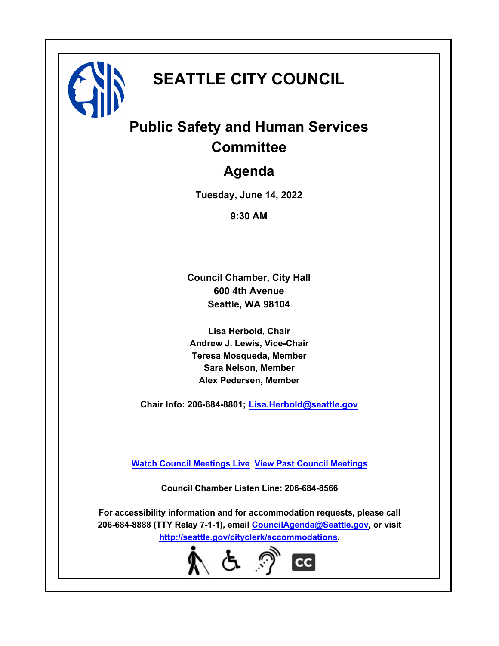

# **SEATTLE CITY COUNCIL**

# **Public Safety and Human Services Committee**

# **Agenda**

**Tuesday, June 14, 2022**

**9:30 AM**

**Council Chamber, City Hall 600 4th Avenue Seattle, WA 98104**

**Lisa Herbold, Chair Andrew J. Lewis, Vice-Chair Teresa Mosqueda, Member Sara Nelson, Member Alex Pedersen, Member**

**Chair Info: 206-684-8801; [Lisa.Herbold@seattle.gov](mailto: Lisa.Herbold@seattle.gov)**

**[Watch Council Meetings Live](http://www.seattle.gov/council/councillive.htm) [View Past Council Meetings](http://www.seattlechannel.org/videos/browseVideos.asp?topic=council)**

**Council Chamber Listen Line: 206-684-8566**

**For accessibility information and for accommodation requests, please call 206-684-8888 (TTY Relay 7-1-1), email [CouncilAgenda@Seattle.gov](mailto: CouncilAgenda@Seattle.gov), or visit <http://seattle.gov/cityclerk/accommodations>.**

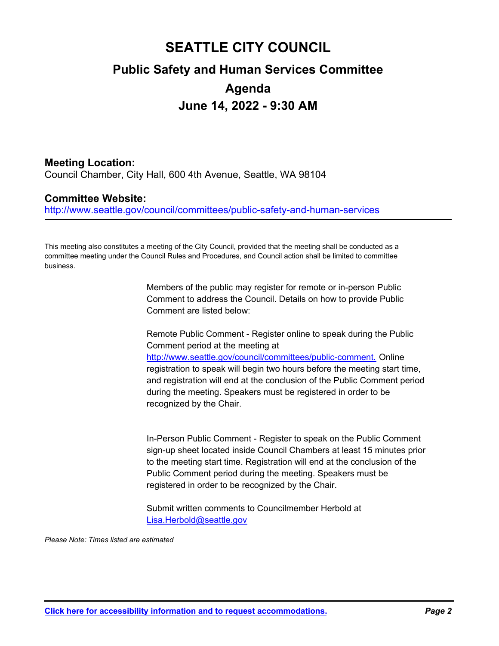# **SEATTLE CITY COUNCIL Public Safety and Human Services Committee Agenda June 14, 2022 - 9:30 AM**

### **Meeting Location:**

Council Chamber, City Hall, 600 4th Avenue, Seattle, WA 98104

### **Committee Website:**

http://www.seattle.gov/council/committees/public-safety-and-human-services

This meeting also constitutes a meeting of the City Council, provided that the meeting shall be conducted as a committee meeting under the Council Rules and Procedures, and Council action shall be limited to committee business.

> Members of the public may register for remote or in-person Public Comment to address the Council. Details on how to provide Public Comment are listed below:

Remote Public Comment - Register online to speak during the Public Comment period at the meeting at http://www.seattle.gov/council/committees/public-comment. Online registration to speak will begin two hours before the meeting start time, and registration will end at the conclusion of the Public Comment period during the meeting. Speakers must be registered in order to be recognized by the Chair.

In-Person Public Comment - Register to speak on the Public Comment sign-up sheet located inside Council Chambers at least 15 minutes prior to the meeting start time. Registration will end at the conclusion of the Public Comment period during the meeting. Speakers must be registered in order to be recognized by the Chair.

Submit written comments to Councilmember Herbold at Lisa.Herbold@seattle.gov

*Please Note: Times listed are estimated*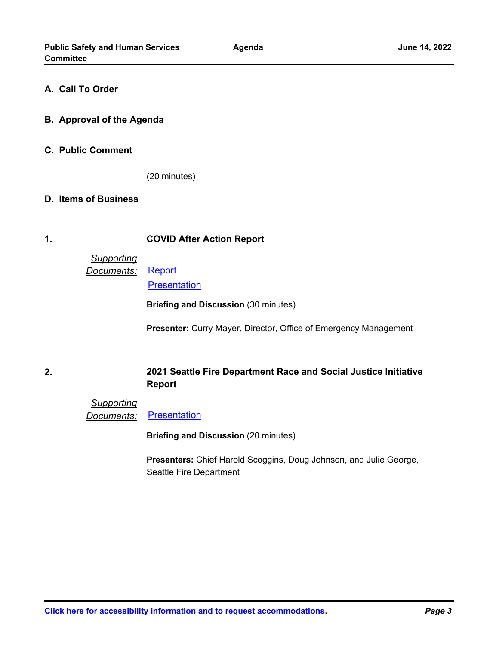#### **A. Call To Order**

- **B. Approval of the Agenda**
- **C. Public Comment**

(20 minutes)

#### **D. Items of Business**

#### **1. COVID After Action Report**

## *Supporting Documents:* [Report](http://seattle.legistar.com/gateway.aspx?M=F&ID=b2c68e8f-1aab-4dd6-b591-5ce6f22b951e.pdf)

**[Presentation](http://seattle.legistar.com/gateway.aspx?M=F&ID=d07930e8-a746-4359-b0cf-cad6bfa0956a.pdf)** 

**Briefing and Discussion** (30 minutes)

**Presenter:** Curry Mayer, Director, Office of Emergency Management

**2.**

### **2021 Seattle Fire Department Race and Social Justice Initiative Report**

*Supporting* **Documents:** [Presentation](http://seattle.legistar.com/gateway.aspx?M=F&ID=7a7651ac-710e-4952-a186-21cb3a037bda.pdf)

**Briefing and Discussion** (20 minutes)

**Presenters:** Chief Harold Scoggins, Doug Johnson, and Julie George, Seattle Fire Department